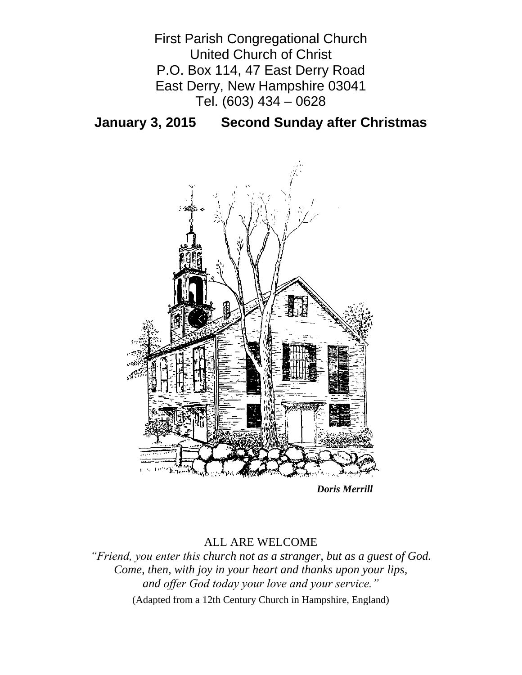

**January 3, 2015 Second Sunday after Christmas**



*Doris Merrill*

# ALL ARE WELCOME

*"Friend, you enter this church not as a stranger, but as a guest of God. Come, then, with joy in your heart and thanks upon your lips, and offer God today your love and your service."*

(Adapted from a 12th Century Church in Hampshire, England)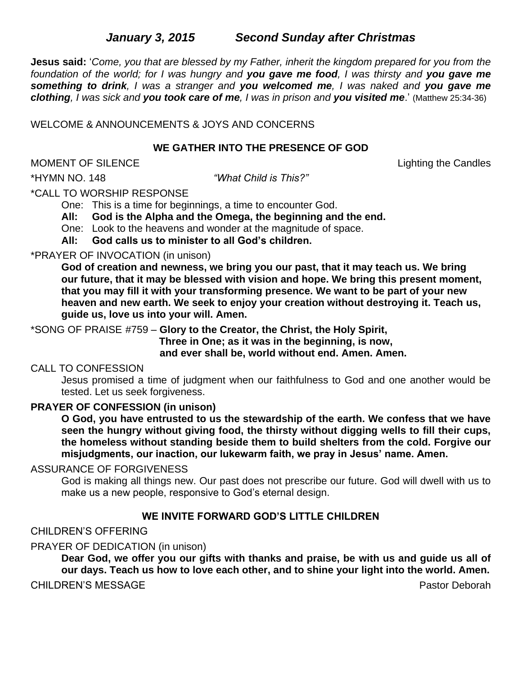# *January 3, 2015**Second Sunday after Christmas*

**Jesus said:** '*Come, you that are blessed by my Father, inherit the kingdom prepared for you from the foundation of the world; for I was hungry and you gave me food, I was thirsty and you gave me something to drink, I was a stranger and you welcomed me, I was naked and you gave me clothing, I was sick and you took care of me, I was in prison and you visited me*.' (Matthew 25:34-36)

WELCOME & ANNOUNCEMENTS & JOYS AND CONCERNS

#### **WE GATHER INTO THE PRESENCE OF GOD**

MOMENT OF SILENCE **Lighting the Candles** 

\*HYMN NO. 148 *"What Child is This?"*

\*CALL TO WORSHIP RESPONSE

One: This is a time for beginnings, a time to encounter God.

**All: God is the Alpha and the Omega, the beginning and the end.**

One: Look to the heavens and wonder at the magnitude of space.

**All: God calls us to minister to all God's children.**

#### \*PRAYER OF INVOCATION (in unison)

**God of creation and newness, we bring you our past, that it may teach us. We bring our future, that it may be blessed with vision and hope. We bring this present moment, that you may fill it with your transforming presence. We want to be part of your new heaven and new earth. We seek to enjoy your creation without destroying it. Teach us, guide us, love us into your will. Amen.**

\*SONG OF PRAISE #759 – **Glory to the Creator, the Christ, the Holy Spirit,**

 **Three in One; as it was in the beginning, is now,** 

 **and ever shall be, world without end. Amen. Amen.**

#### CALL TO CONFESSION

Jesus promised a time of judgment when our faithfulness to God and one another would be tested. Let us seek forgiveness.

## **PRAYER OF CONFESSION (in unison)**

**O God, you have entrusted to us the stewardship of the earth. We confess that we have seen the hungry without giving food, the thirsty without digging wells to fill their cups, the homeless without standing beside them to build shelters from the cold. Forgive our misjudgments, our inaction, our lukewarm faith, we pray in Jesus' name. Amen.**

#### ASSURANCE OF FORGIVENESS

God is making all things new. Our past does not prescribe our future. God will dwell with us to make us a new people, responsive to God's eternal design.

## **WE INVITE FORWARD GOD'S LITTLE CHILDREN**

#### CHILDREN'S OFFERING

## PRAYER OF DEDICATION (in unison)

**Dear God, we offer you our gifts with thanks and praise, be with us and guide us all of our days. Teach us how to love each other, and to shine your light into the world. Amen.**

CHILDREN'S MESSAGE **Pastor Deborah** Pastor Deborah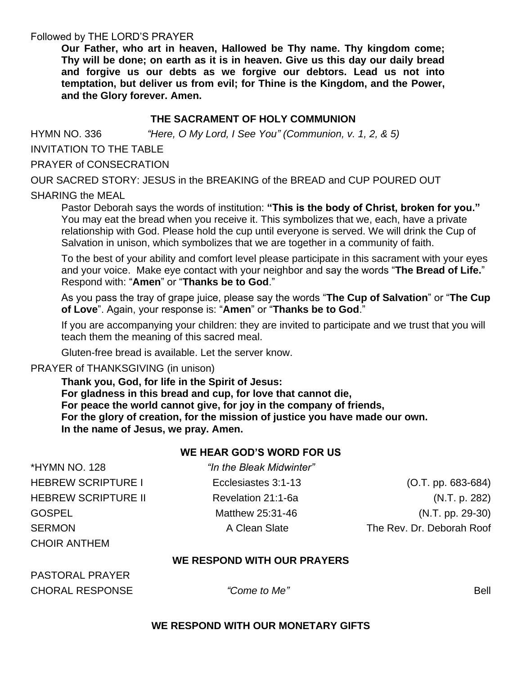#### Followed by THE LORD'S PRAYER

**Our Father, who art in heaven, Hallowed be Thy name. Thy kingdom come; Thy will be done; on earth as it is in heaven. Give us this day our daily bread and forgive us our debts as we forgive our debtors. Lead us not into temptation, but deliver us from evil; for Thine is the Kingdom, and the Power, and the Glory forever. Amen.** 

## **THE SACRAMENT OF HOLY COMMUNION**

HYMN NO. 336 *"Here, O My Lord, I See You" (Communion, v. 1, 2, & 5)*

INVITATION TO THE TABLE

PRAYER of CONSECRATION

OUR SACRED STORY: JESUS in the BREAKING of the BREAD and CUP POURED OUT

## SHARING the MEAL

Pastor Deborah says the words of institution: **"This is the body of Christ, broken for you."** You may eat the bread when you receive it. This symbolizes that we, each, have a private relationship with God. Please hold the cup until everyone is served. We will drink the Cup of Salvation in unison, which symbolizes that we are together in a community of faith.

To the best of your ability and comfort level please participate in this sacrament with your eyes and your voice. Make eye contact with your neighbor and say the words "**The Bread of Life.**" Respond with: "**Amen**" or "**Thanks be to God**."

As you pass the tray of grape juice, please say the words "**The Cup of Salvation**" or "**The Cup of Love**". Again, your response is: "**Amen**" or "**Thanks be to God**."

If you are accompanying your children: they are invited to participate and we trust that you will teach them the meaning of this sacred meal.

Gluten-free bread is available. Let the server know.

PRAYER of THANKSGIVING (in unison)

**Thank you, God, for life in the Spirit of Jesus: For gladness in this bread and cup, for love that cannot die, For peace the world cannot give, for joy in the company of friends, For the glory of creation, for the mission of justice you have made our own. In the name of Jesus, we pray. Amen.**

## **WE HEAR GOD'S WORD FOR US**

| "In the Bleak Midwinter" |                           |
|--------------------------|---------------------------|
| Ecclesiastes 3:1-13      | $(O.T. pp. 683-684)$      |
| Revelation 21:1-6a       | (N.T. p. 282)             |
| Matthew 25:31-46         | $(N.T. pp. 29-30)$        |
| A Clean Slate            | The Rev. Dr. Deborah Roof |
|                          |                           |

## **WE RESPOND WITH OUR PRAYERS**

PASTORAL PRAYER **CHORAL RESPONSE** <sup>"Come to Me" **Bell Bell Bell Bell**</sup>

CHOIR ANTHEM